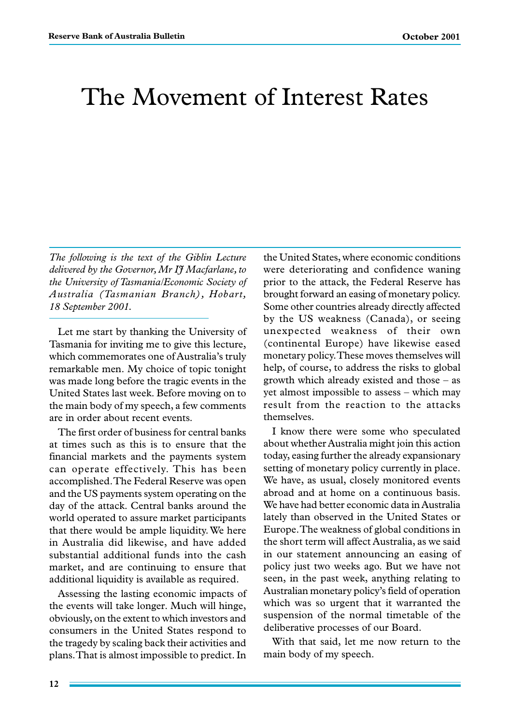# The Movement of Interest Rates

*The following is the text of the Giblin Lecture delivered by the Governor, Mr IJ Macfarlane, to the University of Tasmania/Economic Society of Australia (Tasmanian Branch), Hobart, 18 September 2001.*

Let me start by thanking the University of Tasmania for inviting me to give this lecture, which commemorates one of Australia's truly remarkable men. My choice of topic tonight was made long before the tragic events in the United States last week. Before moving on to the main body of my speech, a few comments are in order about recent events.

The first order of business for central banks at times such as this is to ensure that the financial markets and the payments system can operate effectively. This has been accomplished. The Federal Reserve was open and the US payments system operating on the day of the attack. Central banks around the world operated to assure market participants that there would be ample liquidity. We here in Australia did likewise, and have added substantial additional funds into the cash market, and are continuing to ensure that additional liquidity is available as required.

Assessing the lasting economic impacts of the events will take longer. Much will hinge, obviously, on the extent to which investors and consumers in the United States respond to the tragedy by scaling back their activities and plans. That is almost impossible to predict. In the United States, where economic conditions were deteriorating and confidence waning prior to the attack, the Federal Reserve has brought forward an easing of monetary policy. Some other countries already directly affected by the US weakness (Canada), or seeing unexpected weakness of their own (continental Europe) have likewise eased monetary policy. These moves themselves will help, of course, to address the risks to global growth which already existed and those – as yet almost impossible to assess – which may result from the reaction to the attacks themselves.

I know there were some who speculated about whether Australia might join this action today, easing further the already expansionary setting of monetary policy currently in place. We have, as usual, closely monitored events abroad and at home on a continuous basis. We have had better economic data in Australia lately than observed in the United States or Europe. The weakness of global conditions in the short term will affect Australia, as we said in our statement announcing an easing of policy just two weeks ago. But we have not seen, in the past week, anything relating to Australian monetary policy's field of operation which was so urgent that it warranted the suspension of the normal timetable of the deliberative processes of our Board.

With that said, let me now return to the main body of my speech.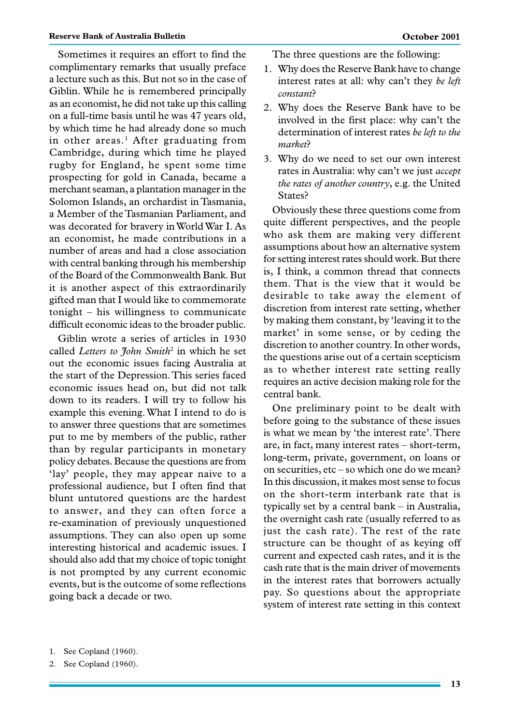Sometimes it requires an effort to find the complimentary remarks that usually preface a lecture such as this. But not so in the case of Giblin. While he is remembered principally as an economist, he did not take up this calling on a full-time basis until he was 47 years old, by which time he had already done so much in other areas.<sup>1</sup> After graduating from Cambridge, during which time he played rugby for England, he spent some time prospecting for gold in Canada, became a merchant seaman, a plantation manager in the Solomon Islands, an orchardist in Tasmania, a Member of the Tasmanian Parliament, and was decorated for bravery in World War I. As an economist, he made contributions in a number of areas and had a close association with central banking through his membership of the Board of the Commonwealth Bank. But it is another aspect of this extraordinarily gifted man that I would like to commemorate tonight – his willingness to communicate

Giblin wrote a series of articles in 1930 called *Letters to John Smith*<sup>2</sup> in which he set out the economic issues facing Australia at the start of the Depression. This series faced economic issues head on, but did not talk down to its readers. I will try to follow his example this evening. What I intend to do is to answer three questions that are sometimes put to me by members of the public, rather than by regular participants in monetary policy debates. Because the questions are from 'lay' people, they may appear naive to a professional audience, but I often find that blunt untutored questions are the hardest to answer, and they can often force a re-examination of previously unquestioned assumptions. They can also open up some interesting historical and academic issues. I should also add that my choice of topic tonight is not prompted by any current economic events, but is the outcome of some reflections going back a decade or two.

difficult economic ideas to the broader public.

The three questions are the following:

- 1. Why does the Reserve Bank have to change interest rates at all: why can't they *be left constant*?
- 2. Why does the Reserve Bank have to be involved in the first place: why can't the determination of interest rates *be left to the market*?
- 3. Why do we need to set our own interest rates in Australia: why can't we just *accept the rates of another country*, e.g. the United States?

Obviously these three questions come from quite different perspectives, and the people who ask them are making very different assumptions about how an alternative system for setting interest rates should work. But there is, I think, a common thread that connects them. That is the view that it would be desirable to take away the element of discretion from interest rate setting, whether by making them constant, by 'leaving it to the market' in some sense, or by ceding the discretion to another country. In other words, the questions arise out of a certain scepticism as to whether interest rate setting really requires an active decision making role for the central bank.

One preliminary point to be dealt with before going to the substance of these issues is what we mean by 'the interest rate'. There are, in fact, many interest rates – short-term, long-term, private, government, on loans or on securities, etc – so which one do we mean? In this discussion, it makes most sense to focus on the short-term interbank rate that is typically set by a central bank – in Australia, the overnight cash rate (usually referred to as just the cash rate). The rest of the rate structure can be thought of as keying off current and expected cash rates, and it is the cash rate that is the main driver of movements in the interest rates that borrowers actually pay. So questions about the appropriate system of interest rate setting in this context

<sup>1.</sup> See Copland (1960).

<sup>2.</sup> See Copland (1960).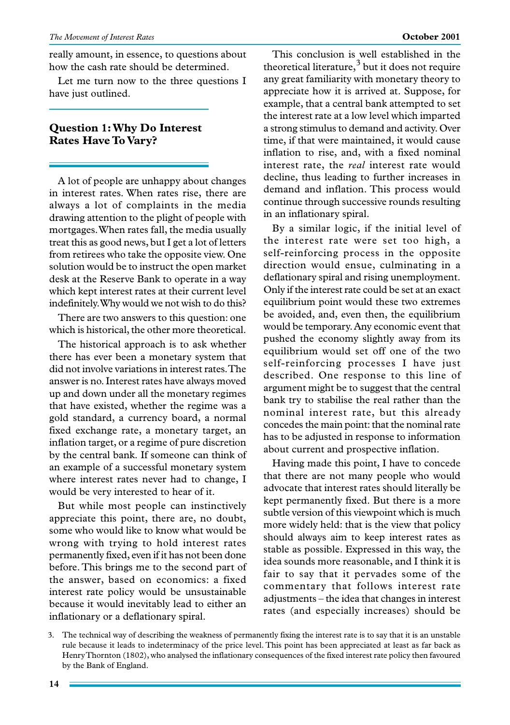really amount, in essence, to questions about how the cash rate should be determined.

Let me turn now to the three questions I have just outlined.

### **Question 1: Why Do Interest Rates Have To Vary?**

A lot of people are unhappy about changes in interest rates. When rates rise, there are always a lot of complaints in the media drawing attention to the plight of people with mortgages. When rates fall, the media usually treat this as good news, but I get a lot of letters from retirees who take the opposite view. One solution would be to instruct the open market desk at the Reserve Bank to operate in a way which kept interest rates at their current level indefinitely. Why would we not wish to do this?

There are two answers to this question: one which is historical, the other more theoretical.

The historical approach is to ask whether there has ever been a monetary system that did not involve variations in interest rates. The answer is no. Interest rates have always moved up and down under all the monetary regimes that have existed, whether the regime was a gold standard, a currency board, a normal fixed exchange rate, a monetary target, an inflation target, or a regime of pure discretion by the central bank. If someone can think of an example of a successful monetary system where interest rates never had to change, I would be very interested to hear of it.

But while most people can instinctively appreciate this point, there are, no doubt, some who would like to know what would be wrong with trying to hold interest rates permanently fixed, even if it has not been done before. This brings me to the second part of the answer, based on economics: a fixed interest rate policy would be unsustainable because it would inevitably lead to either an inflationary or a deflationary spiral.

This conclusion is well established in the theoretical literature, $3$  but it does not require any great familiarity with monetary theory to appreciate how it is arrived at. Suppose, for example, that a central bank attempted to set the interest rate at a low level which imparted a strong stimulus to demand and activity. Over time, if that were maintained, it would cause inflation to rise, and, with a fixed nominal interest rate, the *real* interest rate would decline, thus leading to further increases in demand and inflation. This process would continue through successive rounds resulting in an inflationary spiral.

By a similar logic, if the initial level of the interest rate were set too high, a self-reinforcing process in the opposite direction would ensue, culminating in a deflationary spiral and rising unemployment. Only if the interest rate could be set at an exact equilibrium point would these two extremes be avoided, and, even then, the equilibrium would be temporary. Any economic event that pushed the economy slightly away from its equilibrium would set off one of the two self-reinforcing processes I have just described. One response to this line of argument might be to suggest that the central bank try to stabilise the real rather than the nominal interest rate, but this already concedes the main point: that the nominal rate has to be adjusted in response to information about current and prospective inflation.

Having made this point, I have to concede that there are not many people who would advocate that interest rates should literally be kept permanently fixed. But there is a more subtle version of this viewpoint which is much more widely held: that is the view that policy should always aim to keep interest rates as stable as possible. Expressed in this way, the idea sounds more reasonable, and I think it is fair to say that it pervades some of the commentary that follows interest rate adjustments – the idea that changes in interest rates (and especially increases) should be

3. The technical way of describing the weakness of permanently fixing the interest rate is to say that it is an unstable rule because it leads to indeterminacy of the price level. This point has been appreciated at least as far back as Henry Thornton (1802), who analysed the inflationary consequences of the fixed interest rate policy then favoured by the Bank of England.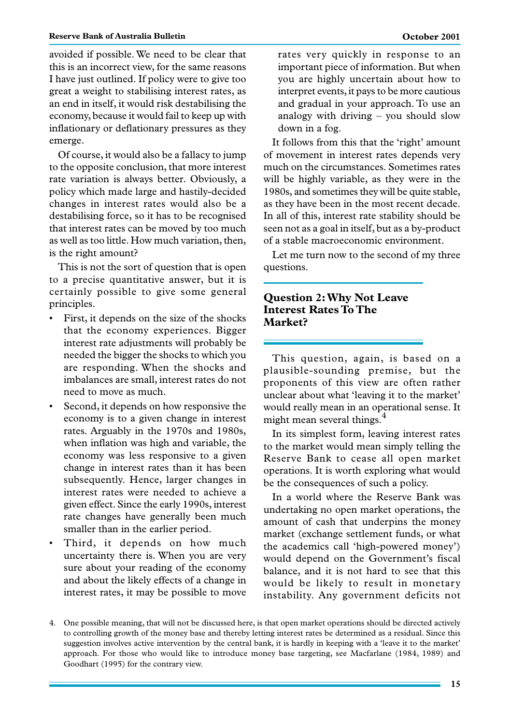avoided if possible. We need to be clear that this is an incorrect view, for the same reasons I have just outlined. If policy were to give too great a weight to stabilising interest rates, as an end in itself, it would risk destabilising the economy, because it would fail to keep up with inflationary or deflationary pressures as they emerge.

Of course, it would also be a fallacy to jump to the opposite conclusion, that more interest rate variation is always better. Obviously, a policy which made large and hastily-decided changes in interest rates would also be a destabilising force, so it has to be recognised that interest rates can be moved by too much as well as too little. How much variation, then, is the right amount?

This is not the sort of question that is open to a precise quantitative answer, but it is certainly possible to give some general principles.

- First, it depends on the size of the shocks that the economy experiences. Bigger interest rate adjustments will probably be needed the bigger the shocks to which you are responding. When the shocks and imbalances are small, interest rates do not need to move as much.
- Second, it depends on how responsive the economy is to a given change in interest rates. Arguably in the 1970s and 1980s, when inflation was high and variable, the economy was less responsive to a given change in interest rates than it has been subsequently. Hence, larger changes in interest rates were needed to achieve a given effect. Since the early 1990s, interest rate changes have generally been much smaller than in the earlier period.
- Third, it depends on how much uncertainty there is. When you are very sure about your reading of the economy and about the likely effects of a change in interest rates, it may be possible to move

rates very quickly in response to an important piece of information. But when you are highly uncertain about how to interpret events, it pays to be more cautious and gradual in your approach. To use an analogy with driving – you should slow down in a fog.

It follows from this that the 'right' amount of movement in interest rates depends very much on the circumstances. Sometimes rates will be highly variable, as they were in the 1980s, and sometimes they will be quite stable, as they have been in the most recent decade. In all of this, interest rate stability should be seen not as a goal in itself, but as a by-product of a stable macroeconomic environment.

Let me turn now to the second of my three questions.

## **Question 2: Why Not Leave Interest Rates To The Market?**

This question, again, is based on a plausible-sounding premise, but the proponents of this view are often rather unclear about what 'leaving it to the market' would really mean in an operational sense. It might mean several things.<sup>4</sup>

In its simplest form, leaving interest rates to the market would mean simply telling the Reserve Bank to cease all open market operations. It is worth exploring what would be the consequences of such a policy.

In a world where the Reserve Bank was undertaking no open market operations, the amount of cash that underpins the money market (exchange settlement funds, or what the academics call 'high-powered money') would depend on the Government's fiscal balance, and it is not hard to see that this would be likely to result in monetary instability. Any government deficits not

<sup>4.</sup> One possible meaning, that will not be discussed here, is that open market operations should be directed actively to controlling growth of the money base and thereby letting interest rates be determined as a residual. Since this suggestion involves active intervention by the central bank, it is hardly in keeping with a 'leave it to the market' approach. For those who would like to introduce money base targeting, see Macfarlane (1984, 1989) and Goodhart (1995) for the contrary view.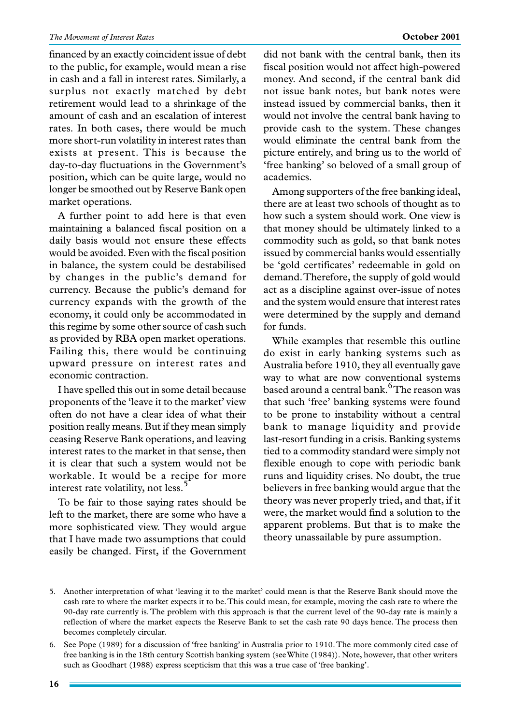financed by an exactly coincident issue of debt to the public, for example, would mean a rise in cash and a fall in interest rates. Similarly, a surplus not exactly matched by debt retirement would lead to a shrinkage of the amount of cash and an escalation of interest rates. In both cases, there would be much more short-run volatility in interest rates than exists at present. This is because the day-to-day fluctuations in the Government's position, which can be quite large, would no longer be smoothed out by Reserve Bank open market operations.

A further point to add here is that even maintaining a balanced fiscal position on a daily basis would not ensure these effects would be avoided. Even with the fiscal position in balance, the system could be destabilised by changes in the public's demand for currency. Because the public's demand for currency expands with the growth of the economy, it could only be accommodated in this regime by some other source of cash such as provided by RBA open market operations. Failing this, there would be continuing upward pressure on interest rates and economic contraction.

I have spelled this out in some detail because proponents of the 'leave it to the market' view often do not have a clear idea of what their position really means. But if they mean simply ceasing Reserve Bank operations, and leaving interest rates to the market in that sense, then it is clear that such a system would not be workable. It would be a recipe for more interest rate volatility, not less.<sup>5</sup>

To be fair to those saying rates should be left to the market, there are some who have a more sophisticated view. They would argue that I have made two assumptions that could easily be changed. First, if the Government did not bank with the central bank, then its fiscal position would not affect high-powered money. And second, if the central bank did not issue bank notes, but bank notes were instead issued by commercial banks, then it would not involve the central bank having to provide cash to the system. These changes would eliminate the central bank from the picture entirely, and bring us to the world of 'free banking' so beloved of a small group of academics.

Among supporters of the free banking ideal, there are at least two schools of thought as to how such a system should work. One view is that money should be ultimately linked to a commodity such as gold, so that bank notes issued by commercial banks would essentially be 'gold certificates' redeemable in gold on demand. Therefore, the supply of gold would act as a discipline against over-issue of notes and the system would ensure that interest rates were determined by the supply and demand for funds.

While examples that resemble this outline do exist in early banking systems such as Australia before 1910, they all eventually gave way to what are now conventional systems based around a central bank.<sup>6</sup>The reason was that such 'free' banking systems were found to be prone to instability without a central bank to manage liquidity and provide last-resort funding in a crisis. Banking systems tied to a commodity standard were simply not flexible enough to cope with periodic bank runs and liquidity crises. No doubt, the true believers in free banking would argue that the theory was never properly tried, and that, if it were, the market would find a solution to the apparent problems. But that is to make the theory unassailable by pure assumption.

<sup>5.</sup> Another interpretation of what 'leaving it to the market' could mean is that the Reserve Bank should move the cash rate to where the market expects it to be. This could mean, for example, moving the cash rate to where the 90-day rate currently is. The problem with this approach is that the current level of the 90-day rate is mainly a reflection of where the market expects the Reserve Bank to set the cash rate 90 days hence. The process then becomes completely circular.

<sup>6.</sup> See Pope (1989) for a discussion of 'free banking' in Australia prior to 1910. The more commonly cited case of free banking is in the 18th century Scottish banking system (see White (1984)). Note, however, that other writers such as Goodhart (1988) express scepticism that this was a true case of 'free banking'.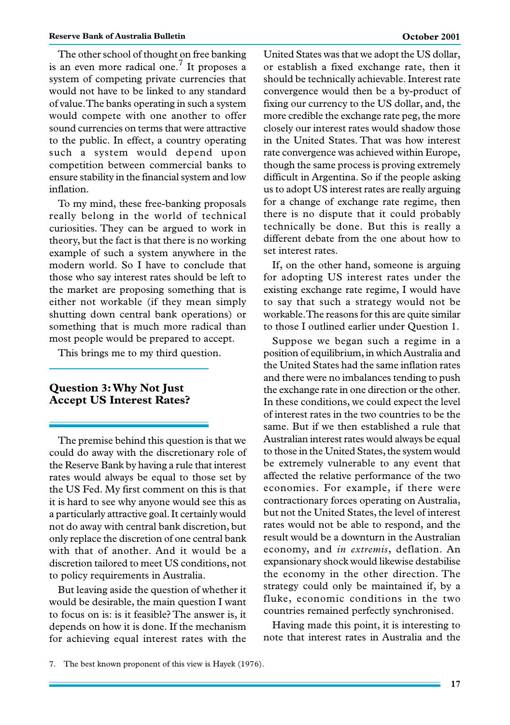The other school of thought on free banking is an even more radical one.<sup>7</sup> It proposes a system of competing private currencies that would not have to be linked to any standard of value. The banks operating in such a system would compete with one another to offer sound currencies on terms that were attractive to the public. In effect, a country operating such a system would depend upon competition between commercial banks to ensure stability in the financial system and low inflation.

To my mind, these free-banking proposals really belong in the world of technical curiosities. They can be argued to work in theory, but the fact is that there is no working example of such a system anywhere in the modern world. So I have to conclude that those who say interest rates should be left to the market are proposing something that is either not workable (if they mean simply shutting down central bank operations) or something that is much more radical than most people would be prepared to accept.

This brings me to my third question.

#### **Question 3: Why Not Just Accept US Interest Rates?**

The premise behind this question is that we could do away with the discretionary role of the Reserve Bank by having a rule that interest rates would always be equal to those set by the US Fed. My first comment on this is that it is hard to see why anyone would see this as a particularly attractive goal. It certainly would not do away with central bank discretion, but only replace the discretion of one central bank with that of another. And it would be a discretion tailored to meet US conditions, not to policy requirements in Australia.

But leaving aside the question of whether it would be desirable, the main question I want to focus on is: is it feasible? The answer is, it depends on how it is done. If the mechanism for achieving equal interest rates with the United States was that we adopt the US dollar, or establish a fixed exchange rate, then it should be technically achievable. Interest rate convergence would then be a by-product of fixing our currency to the US dollar, and, the more credible the exchange rate peg, the more closely our interest rates would shadow those in the United States. That was how interest rate convergence was achieved within Europe, though the same process is proving extremely difficult in Argentina. So if the people asking us to adopt US interest rates are really arguing for a change of exchange rate regime, then there is no dispute that it could probably technically be done. But this is really a different debate from the one about how to set interest rates.

If, on the other hand, someone is arguing for adopting US interest rates under the existing exchange rate regime, I would have to say that such a strategy would not be workable. The reasons for this are quite similar to those I outlined earlier under Question 1.

Suppose we began such a regime in a position of equilibrium, in which Australia and the United States had the same inflation rates and there were no imbalances tending to push the exchange rate in one direction or the other. In these conditions, we could expect the level of interest rates in the two countries to be the same. But if we then established a rule that Australian interest rates would always be equal to those in the United States, the system would be extremely vulnerable to any event that affected the relative performance of the two economies. For example, if there were contractionary forces operating on Australia, but not the United States, the level of interest rates would not be able to respond, and the result would be a downturn in the Australian economy, and *in extremis*, deflation. An expansionary shock would likewise destabilise the economy in the other direction. The strategy could only be maintained if, by a fluke, economic conditions in the two countries remained perfectly synchronised.

Having made this point, it is interesting to note that interest rates in Australia and the

<sup>7.</sup> The best known proponent of this view is Hayek (1976).